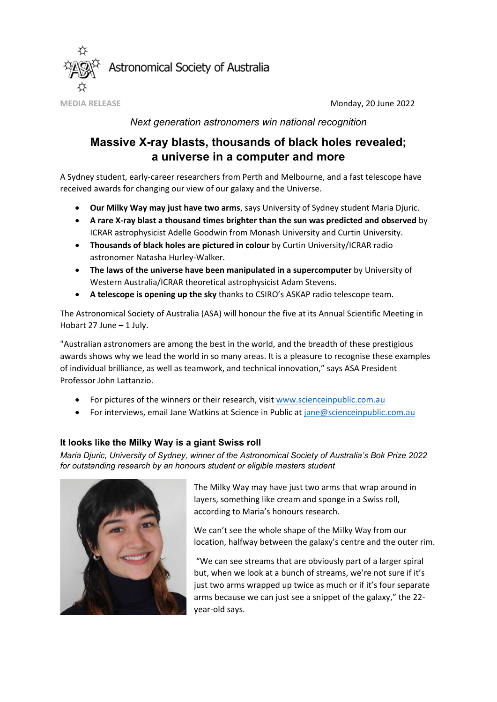

**MEDIA RELEASE** Monday, 20 June 2022

### *Next generation astronomers win national recognition*

# **Massive X-ray blasts, thousands of black holes revealed; a universe in a computer and more**

A Sydney student, early-career researchers from Perth and Melbourne, and a fast telescope have received awards for changing our view of our galaxy and the Universe.

- **Our Milky Way may just have two arms**, says University of Sydney student Maria Djuric.
- **A rare X-ray blast a thousand times brighter than the sun was predicted and observed** by ICRAR astrophysicist Adelle Goodwin from Monash University and Curtin University.
- **Thousands of black holes are pictured in colour** by Curtin University/ICRAR radio astronomer Natasha Hurley-Walker.
- **The laws of the universe have been manipulated in a supercomputer** by University of Western Australia/ICRAR theoretical astrophysicist Adam Stevens.
- **A telescope is opening up the sky** thanks to CSIRO's ASKAP radio telescope team.

The Astronomical Society of Australia (ASA) will honour the five at its Annual Scientific Meeting in Hobart 27 June – 1 July.

"Australian astronomers are among the best in the world, and the breadth of these prestigious awards shows why we lead the world in so many areas. It is a pleasure to recognise these examples of individual brilliance, as well as teamwork, and technical innovation," says ASA President Professor John Lattanzio.

- For pictures of the winners or their research, visit [www.scienceinpublic.com.au](http://www.scienceinpublic.com.au/)
- For interviews, email Jane Watkins at Science in Public at [jane@scienceinpublic.com.au](mailto:jane@scienceinpublic.com.au)

## **It looks like the Milky Way is a giant Swiss roll**

*Maria Djuric, University of Sydney, winner of the Astronomical Society of Australia's Bok Prize 2022 for outstanding research by an honours student or eligible masters student*



The Milky Way may have just two arms that wrap around in layers, something like cream and sponge in a Swiss roll, according to Maria's honours research.

We can't see the whole shape of the Milky Way from our location, halfway between the galaxy's centre and the outer rim.

"We can see streams that are obviously part of a larger spiral but, when we look at a bunch of streams, we're not sure if it's just two arms wrapped up twice as much or if it's four separate arms because we can just see a snippet of the galaxy," the 22 year-old says.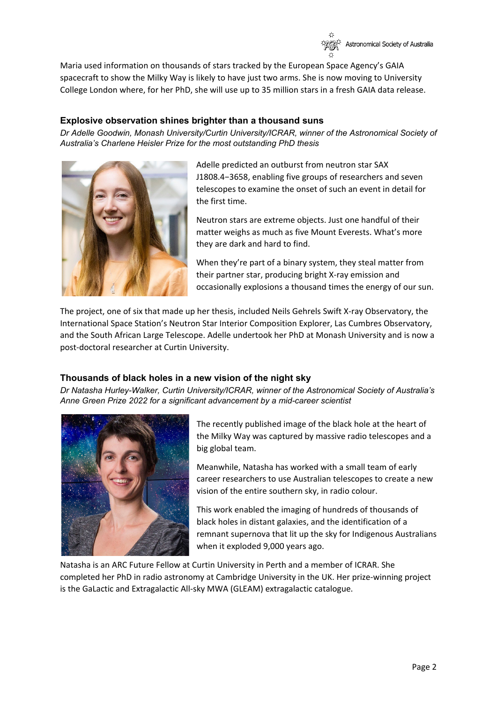

Maria used information on thousands of stars tracked by the European Space Agency's GAIA spacecraft to show the Milky Way is likely to have just two arms. She is now moving to University College London where, for her PhD, she will use up to 35 million stars in a fresh GAIA data release.

#### **Explosive observation shines brighter than a thousand suns**

*Dr Adelle Goodwin, Monash University/Curtin University/ICRAR, winner of the Astronomical Society of Australia's Charlene Heisler Prize for the most outstanding PhD thesis*



Adelle predicted an outburst from neutron star SAX J1808.4−3658, enabling five groups of researchers and seven telescopes to examine the onset of such an event in detail for the first time.

Neutron stars are extreme objects. Just one handful of their matter weighs as much as five Mount Everests. What's more they are dark and hard to find.

When they're part of a binary system, they steal matter from their partner star, producing bright X-ray emission and occasionally explosions a thousand times the energy of our sun.

The project, one of six that made up her thesis, included Neils Gehrels Swift X-ray Observatory, the International Space Station's Neutron Star Interior Composition Explorer, Las Cumbres Observatory, and the South African Large Telescope. Adelle undertook her PhD at Monash University and is now a post-doctoral researcher at Curtin University.

#### **Thousands of black holes in a new vision of the night sky**

*Dr Natasha Hurley-Walker, Curtin University/ICRAR, winner of the Astronomical Society of Australia's Anne Green Prize 2022 for a significant advancement by a mid-career scientist*



The recently published image of the black hole at the heart of the Milky Way was captured by massive radio telescopes and a big global team.

Meanwhile, Natasha has worked with a small team of early career researchers to use Australian telescopes to create a new vision of the entire southern sky, in radio colour.

This work enabled the imaging of hundreds of thousands of black holes in distant galaxies, and the identification of a remnant supernova that lit up the sky for Indigenous Australians when it exploded 9,000 years ago.

Natasha is an ARC Future Fellow at Curtin University in Perth and a member of ICRAR. She completed her PhD in radio astronomy at Cambridge University in the UK. Her prize-winning project is the GaLactic and Extragalactic All-sky MWA (GLEAM) extragalactic catalogue.